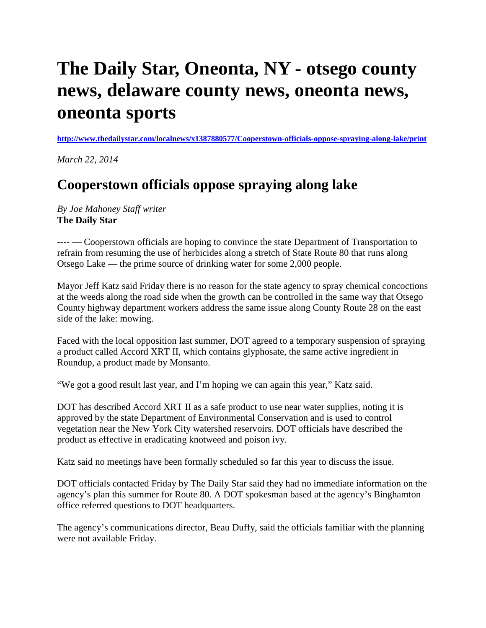## **The Daily Star, Oneonta, NY - otsego county news, delaware county news, oneonta news, oneonta sports**

**<http://www.thedailystar.com/localnews/x1387880577/Cooperstown-officials-oppose-spraying-along-lake/print>**

*March 22, 2014*

## **Cooperstown officials oppose spraying along lake**

*By Joe Mahoney Staff writer* **The Daily Star**

---- — Cooperstown officials are hoping to convince the state Department of Transportation to refrain from resuming the use of herbicides along a stretch of State Route 80 that runs along Otsego Lake — the prime source of drinking water for some 2,000 people.

Mayor Jeff Katz said Friday there is no reason for the state agency to spray chemical concoctions at the weeds along the road side when the growth can be controlled in the same way that Otsego County highway department workers address the same issue along County Route 28 on the east side of the lake: mowing.

Faced with the local opposition last summer, DOT agreed to a temporary suspension of spraying a product called Accord XRT II, which contains glyphosate, the same active ingredient in Roundup, a product made by Monsanto.

"We got a good result last year, and I'm hoping we can again this year," Katz said.

DOT has described Accord XRT II as a safe product to use near water supplies, noting it is approved by the state Department of Environmental Conservation and is used to control vegetation near the New York City watershed reservoirs. DOT officials have described the product as effective in eradicating knotweed and poison ivy.

Katz said no meetings have been formally scheduled so far this year to discuss the issue.

DOT officials contacted Friday by The Daily Star said they had no immediate information on the agency's plan this summer for Route 80. A DOT spokesman based at the agency's Binghamton office referred questions to DOT headquarters.

The agency's communications director, Beau Duffy, said the officials familiar with the planning were not available Friday.